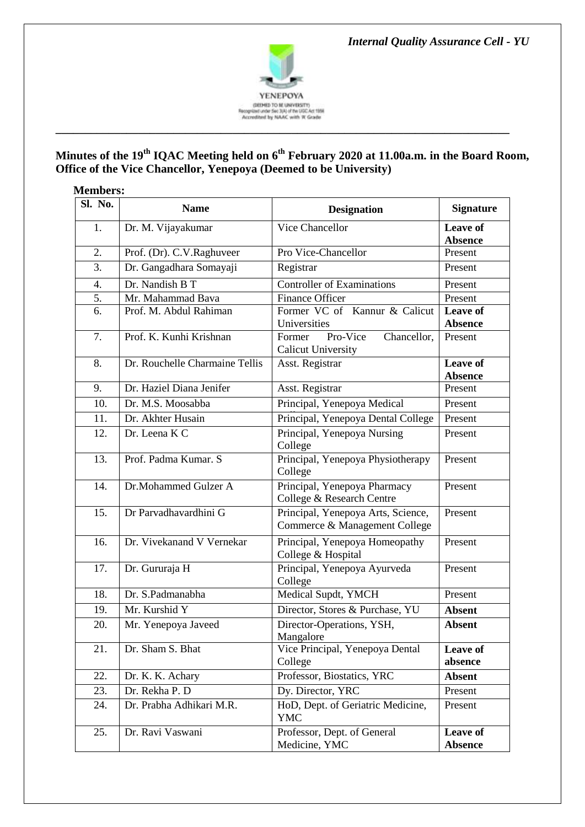*Internal Quality Assurance Cell - YU*



# **Minutes of the 19th IQAC Meeting held on 6th February 2020 at 11.00a.m. in the Board Room, Office of the Vice Chancellor, Yenepoya (Deemed to be University)**

| <b>Members:</b> |                                |                                                                     |                                   |  |
|-----------------|--------------------------------|---------------------------------------------------------------------|-----------------------------------|--|
| Sl. No.         | <b>Name</b>                    | <b>Designation</b>                                                  | <b>Signature</b>                  |  |
| 1.              | Dr. M. Vijayakumar             | Vice Chancellor                                                     | <b>Leave of</b><br><b>Absence</b> |  |
| 2.              | Prof. (Dr). C.V. Raghuveer     | Pro Vice-Chancellor                                                 | Present                           |  |
| 3.              | Dr. Gangadhara Somayaji        | Registrar                                                           | Present                           |  |
| 4.              | Dr. Nandish B T                | Controller of Examinations                                          | Present                           |  |
| 5.              | Mr. Mahammad Bava              | <b>Finance Officer</b>                                              | Present                           |  |
| 6.              | Prof. M. Abdul Rahiman         | Former VC of Kannur & Calicut<br>Universities                       | Leave of<br><b>Absence</b>        |  |
| 7.              | Prof. K. Kunhi Krishnan        | Pro-Vice<br>Chancellor,<br>Former<br><b>Calicut University</b>      | Present                           |  |
| 8.              | Dr. Rouchelle Charmaine Tellis | Asst. Registrar                                                     | <b>Leave of</b><br><b>Absence</b> |  |
| 9.              | Dr. Haziel Diana Jenifer       | Asst. Registrar                                                     | Present                           |  |
| 10.             | Dr. M.S. Moosabba              | Principal, Yenepoya Medical                                         | Present                           |  |
| 11.             | Dr. Akhter Husain              | Principal, Yenepoya Dental College                                  | Present                           |  |
| 12.             | Dr. Leena K C                  | Principal, Yenepoya Nursing<br>College                              | Present                           |  |
| 13.             | Prof. Padma Kumar. S           | Principal, Yenepoya Physiotherapy<br>College                        | Present                           |  |
| 14.             | Dr.Mohammed Gulzer A           | Principal, Yenepoya Pharmacy<br>College & Research Centre           | Present                           |  |
| 15.             | Dr Parvadhavardhini G          | Principal, Yenepoya Arts, Science,<br>Commerce & Management College | Present                           |  |
| 16.             | Dr. Vivekanand V Vernekar      | Principal, Yenepoya Homeopathy<br>College & Hospital                | Present                           |  |
| 17.             | Dr. Gururaja H                 | Principal, Yenepoya Ayurveda<br>College                             | Present                           |  |
| 18.             | Dr. S.Padmanabha               | Medical Supdt, YMCH                                                 | Present                           |  |
| 19.             | Mr. Kurshid Y                  | Director, Stores & Purchase, YU                                     | <b>Absent</b>                     |  |
| 20.             | Mr. Yenepoya Javeed            | Director-Operations, YSH,<br>Mangalore                              | <b>Absent</b>                     |  |
| 21.             | Dr. Sham S. Bhat               | Vice Principal, Yenepoya Dental<br>College                          | Leave of<br>absence               |  |
| 22.             | Dr. K. K. Achary               | Professor, Biostatics, YRC                                          | <b>Absent</b>                     |  |
| 23.             | Dr. Rekha P. D                 | Dy. Director, YRC                                                   | Present                           |  |
| 24.             | Dr. Prabha Adhikari M.R.       | HoD, Dept. of Geriatric Medicine,<br><b>YMC</b>                     | Present                           |  |
| 25.             | Dr. Ravi Vaswani               | Professor, Dept. of General<br>Medicine, YMC                        | Leave of<br><b>Absence</b>        |  |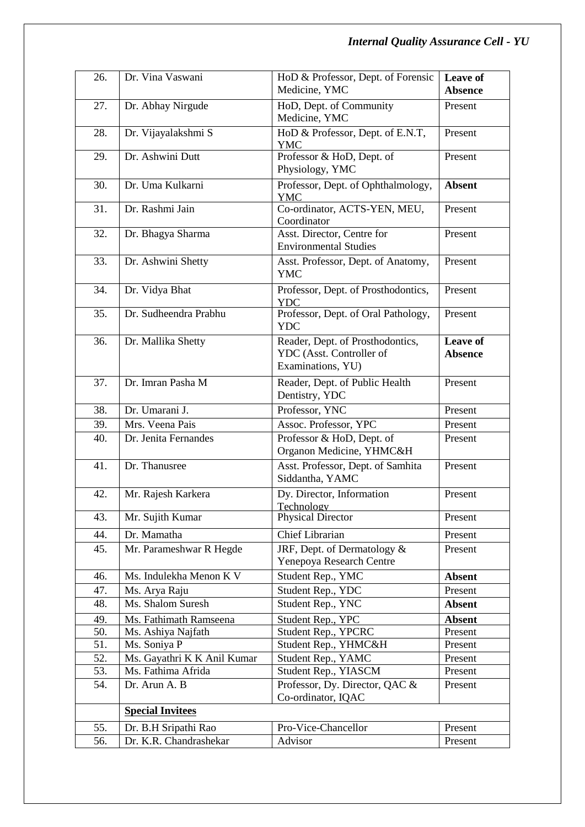| 26. | Dr. Vina Vaswani            | HoD & Professor, Dept. of Forensic<br>Medicine, YMC                               | Leave of<br><b>Absence</b> |
|-----|-----------------------------|-----------------------------------------------------------------------------------|----------------------------|
| 27. | Dr. Abhay Nirgude           | HoD, Dept. of Community                                                           | Present                    |
| 28. | Dr. Vijayalakshmi S         | Medicine, YMC<br>HoD & Professor, Dept. of E.N.T,                                 | Present                    |
| 29. | Dr. Ashwini Dutt            | <b>YMC</b><br>Professor & HoD, Dept. of<br>Physiology, YMC                        | Present                    |
| 30. | Dr. Uma Kulkarni            | Professor, Dept. of Ophthalmology,<br><b>YMC</b>                                  | <b>Absent</b>              |
| 31. | Dr. Rashmi Jain             | Co-ordinator, ACTS-YEN, MEU,<br>Coordinator                                       | Present                    |
| 32. | Dr. Bhagya Sharma           | Asst. Director, Centre for<br><b>Environmental Studies</b>                        | Present                    |
| 33. | Dr. Ashwini Shetty          | Asst. Professor, Dept. of Anatomy,<br><b>YMC</b>                                  | Present                    |
| 34. | Dr. Vidya Bhat              | Professor, Dept. of Prosthodontics,<br><b>YDC</b>                                 | Present                    |
| 35. | Dr. Sudheendra Prabhu       | Professor, Dept. of Oral Pathology,<br><b>YDC</b>                                 | Present                    |
| 36. | Dr. Mallika Shetty          | Reader, Dept. of Prosthodontics,<br>YDC (Asst. Controller of<br>Examinations, YU) | Leave of<br><b>Absence</b> |
| 37. | Dr. Imran Pasha M           | Reader, Dept. of Public Health<br>Dentistry, YDC                                  | Present                    |
| 38. | Dr. Umarani J.              | Professor, YNC                                                                    | Present                    |
| 39. | Mrs. Veena Pais             | Assoc. Professor, YPC                                                             | Present                    |
| 40. | Dr. Jenita Fernandes        | Professor & HoD, Dept. of<br>Organon Medicine, YHMC&H                             | Present                    |
| 41. | Dr. Thanusree               | Asst. Professor, Dept. of Samhita<br>Siddantha, YAMC                              | Present                    |
| 42. | Mr. Rajesh Karkera          | Dy. Director, Information<br><b>Technology</b>                                    | Present                    |
| 43. | Mr. Sujith Kumar            | <b>Physical Director</b>                                                          | Present                    |
| 44. | Dr. Mamatha                 | Chief Librarian                                                                   | Present                    |
| 45. | Mr. Parameshwar R Hegde     | JRF, Dept. of Dermatology &<br>Yenepoya Research Centre                           | Present                    |
| 46. | Ms. Indulekha Menon K V     | Student Rep., YMC                                                                 | <b>Absent</b>              |
| 47. | Ms. Arya Raju               | Student Rep., YDC                                                                 | Present                    |
| 48. | Ms. Shalom Suresh           | Student Rep., YNC                                                                 | <b>Absent</b>              |
| 49. | Ms. Fathimath Ramseena      | Student Rep., YPC                                                                 | <b>Absent</b>              |
| 50. | Ms. Ashiya Najfath          | Student Rep., YPCRC                                                               | Present                    |
| 51. | Ms. Soniya P                | Student Rep., YHMC&H                                                              | Present                    |
| 52. | Ms. Gayathri K K Anil Kumar | Student Rep., YAMC                                                                | Present                    |
| 53. | Ms. Fathima Afrida          | Student Rep., YIASCM                                                              | Present                    |
| 54. | Dr. Arun A. B               | Professor, Dy. Director, QAC &<br>Co-ordinator, IQAC                              | Present                    |
|     | <b>Special Invitees</b>     |                                                                                   |                            |
| 55. | Dr. B.H Sripathi Rao        | Pro-Vice-Chancellor                                                               | Present                    |
| 56. | Dr. K.R. Chandrashekar      | Advisor                                                                           | Present                    |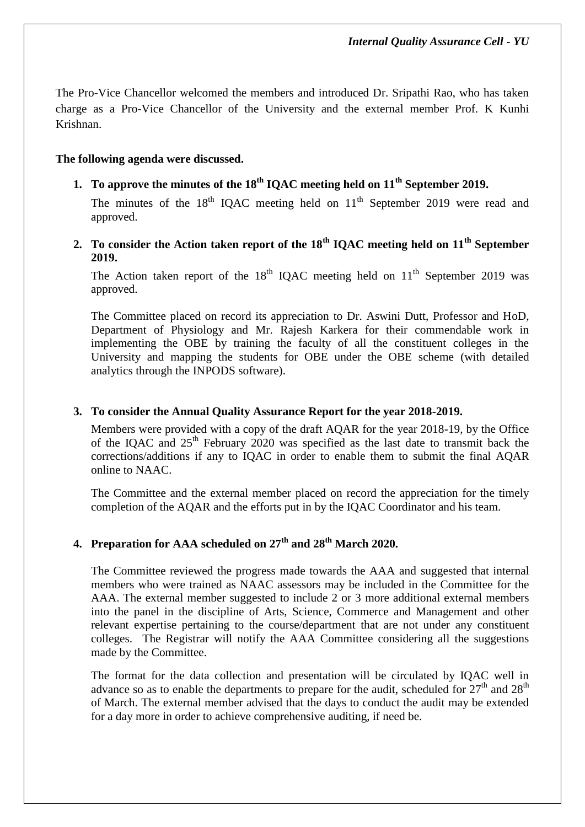The Pro-Vice Chancellor welcomed the members and introduced Dr. Sripathi Rao, who has taken charge as a Pro-Vice Chancellor of the University and the external member Prof. K Kunhi Krishnan.

## **The following agenda were discussed.**

**1. To approve the minutes of the 18th IQAC meeting held on 11th September 2019.**

The minutes of the  $18<sup>th</sup>$  IQAC meeting held on  $11<sup>th</sup>$  September 2019 were read and approved.

**2. To consider the Action taken report of the 18th IQAC meeting held on 11th September 2019.**

The Action taken report of the  $18<sup>th</sup>$  IQAC meeting held on  $11<sup>th</sup>$  September 2019 was approved.

The Committee placed on record its appreciation to Dr. Aswini Dutt, Professor and HoD, Department of Physiology and Mr. Rajesh Karkera for their commendable work in implementing the OBE by training the faculty of all the constituent colleges in the University and mapping the students for OBE under the OBE scheme (with detailed analytics through the INPODS software).

### **3. To consider the Annual Quality Assurance Report for the year 2018-2019.**

Members were provided with a copy of the draft AQAR for the year 2018-19, by the Office of the IQAC and  $25<sup>th</sup>$  February 2020 was specified as the last date to transmit back the corrections/additions if any to IQAC in order to enable them to submit the final AQAR online to NAAC.

The Committee and the external member placed on record the appreciation for the timely completion of the AQAR and the efforts put in by the IQAC Coordinator and his team.

# **4. Preparation for AAA scheduled on 27th and 28th March 2020.**

The Committee reviewed the progress made towards the AAA and suggested that internal members who were trained as NAAC assessors may be included in the Committee for the AAA. The external member suggested to include 2 or 3 more additional external members into the panel in the discipline of Arts, Science, Commerce and Management and other relevant expertise pertaining to the course/department that are not under any constituent colleges. The Registrar will notify the AAA Committee considering all the suggestions made by the Committee.

The format for the data collection and presentation will be circulated by IQAC well in advance so as to enable the departments to prepare for the audit, scheduled for  $27<sup>th</sup>$  and  $28<sup>th</sup>$ of March. The external member advised that the days to conduct the audit may be extended for a day more in order to achieve comprehensive auditing, if need be.